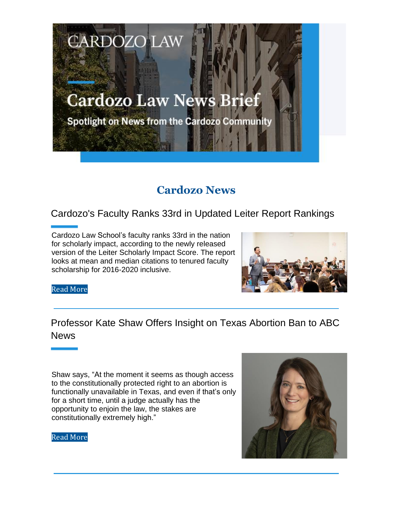# **Cardozo Law News Brief**

**CARDOZO LAW** 

Spotlight on News from the Cardozo Community

# **Cardozo News**

#### Cardozo's Faculty Ranks 33rd in Updated Leiter Report Rankings

Cardozo Law School's faculty ranks 33rd in the nation for scholarly impact, according to the newly released version of the Leiter Scholarly Impact Score. The report looks at mean and median citations to tenured faculty scholarship for 2016-2020 inclusive.



Read More

## Professor Kate Shaw Offers Insight on Texas Abortion Ban to ABC News

Shaw says, "At the moment it seems as though access to the constitutionally protected right to an abortion is functionally unavailable in Texas, and even if that's only for a short time, until a judge actually has the opportunity to enjoin the law, the stakes are constitutionally extremely high."



Read More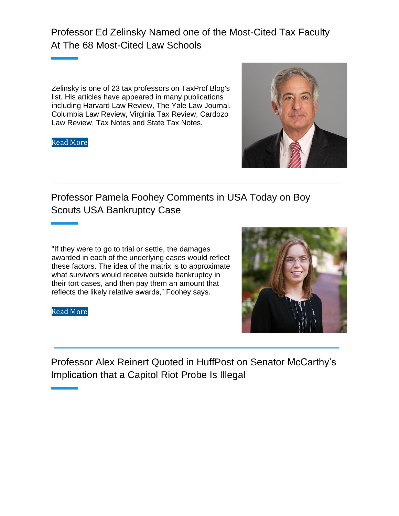Professor Ed Zelinsky Named one of the Most-Cited Tax Faculty At The 68 Most-Cited Law Schools

Zelinsky is one of 23 tax professors on TaxProf Blog's list. His articles have appeared in many publications including Harvard Law Review, The Yale Law Journal, Columbia Law Review, Virginia Tax Review, Cardozo Law Review, Tax Notes and State Tax Notes.

Read More



#### Professor Pamela Foohey Comments in USA Today on Boy Scouts USA Bankruptcy Case

"If they were to go to trial or settle, the damages awarded in each of the underlying cases would reflect these factors. The idea of the matrix is to approximate what survivors would receive outside bankruptcy in their tort cases, and then pay them an amount that reflects the likely relative awards," Foohey says.

Read More



Professor Alex Reinert Quoted in HuffPost on Senator McCarthy's Implication that a Capitol Riot Probe Is Illegal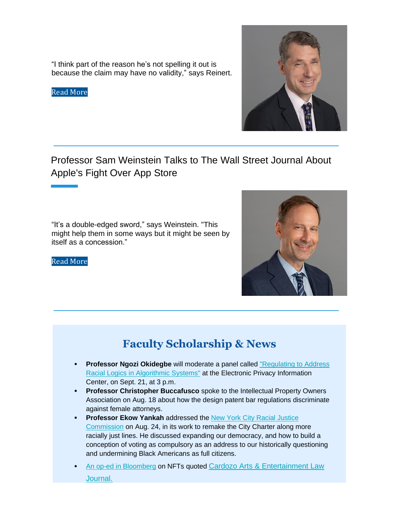"I think part of the reason he's not spelling it out is because the claim may have no validity," says Reinert.

Read More



### Professor Sam Weinstein Talks to The Wall Street Journal About Apple's Fight Over App Store

"It's a double-edged sword," says Weinstein. "This might help them in some ways but it might be seen by itself as a concession."



#### Read More

# **Faculty Scholarship & News**

- **Professor Ngozi Okidegbe** will moderate a panel called "Regulating to Address" Racial Logics in Algorithmic Systems" at the Electronic Privacy Information Center, on Sept. 21, at 3 p.m.
- **Professor Christopher Buccafusco** spoke to the Intellectual Property Owners Association on Aug. 18 about how the design patent bar regulations discriminate against female attorneys.
- **Professor Ekow Yankah** addressed the New York City Racial Justice Commission on Aug. 24, in its work to remake the City Charter along more racially just lines. He discussed expanding our democracy, and how to build a conception of voting as compulsory as an address to our historically questioning and undermining Black Americans as full citizens.
- An op-ed in Bloomberg on NFTs quoted Cardozo Arts & Entertainment Law Journal.